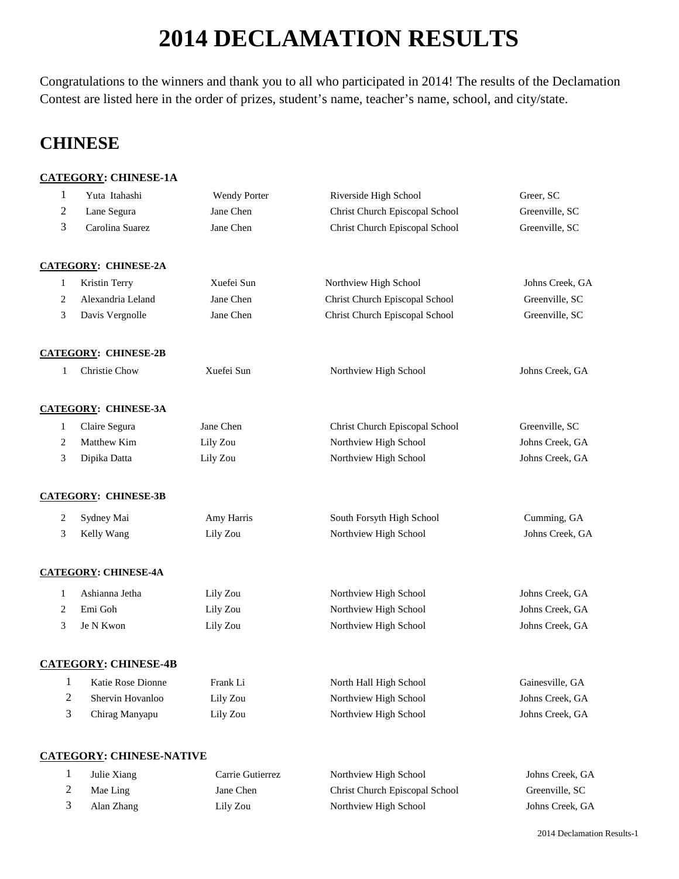# **DECLAMATION RESULTS**

Congratulations to the winners and thank you to all who participated in 2014! The results of the Declamation Contest are listed here in the order of prizes, student's name, teacher's name, school, and city/state.

## **CHINESE**

### **CATEGORY: CHINESE-1A**

| $\mathbf{1}$   | Yuta Itahashi                   | <b>Wendy Porter</b> | Riverside High School          | Greer, SC       |
|----------------|---------------------------------|---------------------|--------------------------------|-----------------|
| 2              | Lane Segura                     | Jane Chen           | Christ Church Episcopal School | Greenville, SC  |
| 3              | Carolina Suarez                 | Jane Chen           | Christ Church Episcopal School | Greenville, SC  |
|                | <b>CATEGORY: CHINESE-2A</b>     |                     |                                |                 |
| $\mathbf{1}$   | Kristin Terry                   | Xuefei Sun          | Northview High School          | Johns Creek, GA |
| 2              | Alexandria Leland               | Jane Chen           | Christ Church Episcopal School | Greenville, SC  |
| 3              | Davis Vergnolle                 | Jane Chen           | Christ Church Episcopal School | Greenville, SC  |
|                | <b>CATEGORY: CHINESE-2B</b>     |                     |                                |                 |
| $\mathbf{1}$   | Christie Chow                   | Xuefei Sun          | Northview High School          | Johns Creek, GA |
|                | <b>CATEGORY: CHINESE-3A</b>     |                     |                                |                 |
| $\mathbf{1}$   | Claire Segura                   | Jane Chen           | Christ Church Episcopal School | Greenville, SC  |
| 2              | Matthew Kim                     | Lily Zou            | Northview High School          | Johns Creek, GA |
| 3              | Dipika Datta                    | Lily Zou            | Northview High School          | Johns Creek, GA |
|                | <b>CATEGORY: CHINESE-3B</b>     |                     |                                |                 |
| $\overline{c}$ | Sydney Mai                      | Amy Harris          | South Forsyth High School      | Cumming, GA     |
| 3              | Kelly Wang                      | Lily Zou            | Northview High School          | Johns Creek, GA |
|                | <b>CATEGORY: CHINESE-4A</b>     |                     |                                |                 |
| $\mathbf{1}$   | Ashianna Jetha                  | Lily Zou            | Northview High School          | Johns Creek, GA |
| 2              | Emi Goh                         | Lily Zou            | Northview High School          | Johns Creek, GA |
| 3              | Je N Kwon                       | Lily Zou            | Northview High School          | Johns Creek, GA |
|                | <b>CATEGORY: CHINESE-4B</b>     |                     |                                |                 |
| $\mathbf{1}$   | Katie Rose Dionne               | Frank Li            | North Hall High School         | Gainesville, GA |
| $\mathbf{2}$   | Shervin Hovanloo                | Lily Zou            | Northview High School          | Johns Creek, GA |
| 3              | Chirag Manyapu                  | Lily Zou            | Northview High School          | Johns Creek, GA |
|                |                                 |                     |                                |                 |
|                |                                 |                     |                                |                 |
|                | <b>CATEGORY: CHINESE-NATIVE</b> |                     |                                |                 |

| Julie Xiang | Carrie Gutierrez | Northview High School          | Johns Creek, GA |
|-------------|------------------|--------------------------------|-----------------|
| Mae Ling    | Jane Chen        | Christ Church Episcopal School | Greenville, SC  |
| Alan Zhang  | Lily Zou         | Northview High School          | Johns Creek, GA |

Declamation Results-1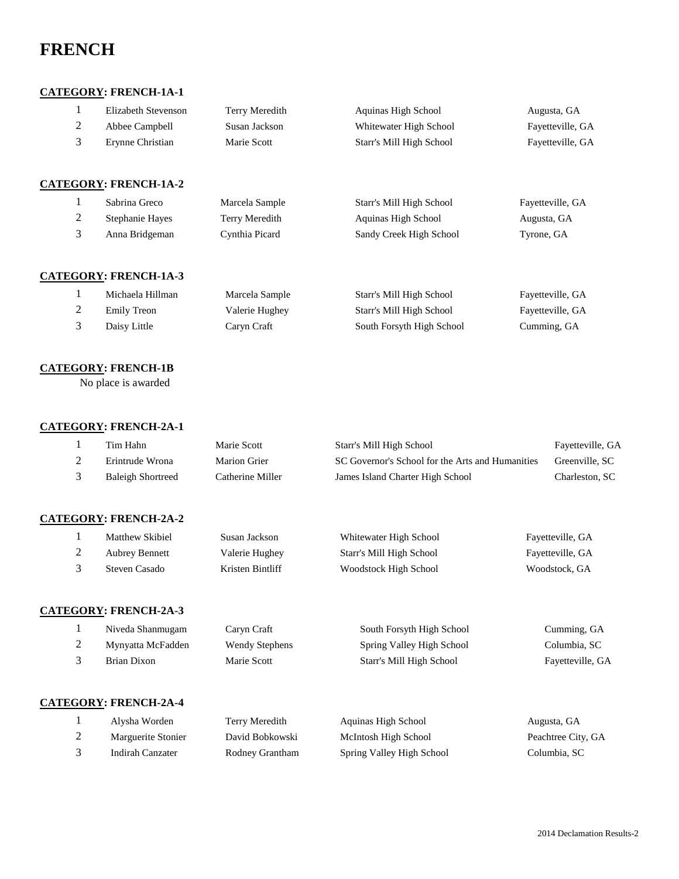## **FRENCH**

#### **CATEGORY: FRENCH-1A-1**

| 2<br>3 | Elizabeth Stevenson<br>Abbee Campbell<br>Erynne Christian | Terry Meredith<br>Susan Jackson<br>Marie Scott | Aquinas High School<br>Whitewater High School<br>Starr's Mill High School | Augusta, GA<br>Fayetteville, GA<br>Fayetteville, GA |
|--------|-----------------------------------------------------------|------------------------------------------------|---------------------------------------------------------------------------|-----------------------------------------------------|
|        | <b>CATEGORY: FRENCH-1A-2</b>                              |                                                |                                                                           |                                                     |
|        | Sabrina Greco                                             | Marcela Sample                                 | Starr's Mill High School                                                  | Fayetteville, GA                                    |
| 2      | Stephanie Hayes                                           | Terry Meredith                                 | Aquinas High School                                                       | Augusta, GA                                         |
| 3      | Anna Bridgeman                                            | Cynthia Picard                                 | Sandy Creek High School                                                   | Tyrone, GA                                          |

#### **CATEGORY: FRENCH-1A-3**

|   | Michaela Hillman | Marcela Sample | Starr's Mill High School  | Fayetteville, GA |
|---|------------------|----------------|---------------------------|------------------|
| ∼ | Emily Treon      | Valerie Hughey | Starr's Mill High School  | Fayetteville, GA |
|   | Daisy Little     | Caryn Craft    | South Forsyth High School | Cumming, GA      |

#### **CATEGORY: FRENCH-1B**

No place is awarded

#### **CATEGORY: FRENCH-2A-1**

|           | Tim Hahn                 | Marie Scott      | Starr's Mill High School                         | Fayetteville, GA |
|-----------|--------------------------|------------------|--------------------------------------------------|------------------|
| <b>__</b> | Erintrude Wrona          | Marion Grier     | SC Governor's School for the Arts and Humanities | Greenville, SC   |
|           | <b>Baleigh Shortreed</b> | Catherine Miller | James Island Charter High School                 | Charleston, SC   |

#### **CATEGORY: FRENCH-2A-2**

| Matthew Skibiel       | Susan Jackson    | Whitewater High School   | Fayetteville, GA |
|-----------------------|------------------|--------------------------|------------------|
| <b>Aubrey Bennett</b> | Valerie Hughey   | Starr's Mill High School | Fayetteville, GA |
| Steven Casado         | Kristen Bintliff | Woodstock High School    | Woodstock, GA    |

### **CATEGORY: FRENCH-2A-3**

|   | Niveda Shanmugam             | Caryn Craft    | South Forsyth High School | Cumming, GA      |
|---|------------------------------|----------------|---------------------------|------------------|
| 2 | Mynyatta McFadden            | Wendy Stephens | Spring Valley High School | Columbia, SC     |
|   | Brian Dixon                  | Marie Scott    | Starr's Mill High School  | Fayetteville, GA |
|   |                              |                |                           |                  |
|   | <b>CATEGORY: FRENCH-2A-4</b> |                |                           |                  |

|   | Alvsha Worden      | Terry Meredith  | Aquinas High School       | Augusta, GA    |
|---|--------------------|-----------------|---------------------------|----------------|
| ∠ | Marguerite Stonier | David Bobkowski | McIntosh High School      | Peachtree City |
|   | Indirah Canzater   | Rodney Grantham | Spring Valley High School | Columbia, SC   |

Augusta, GA Peachtree City, GA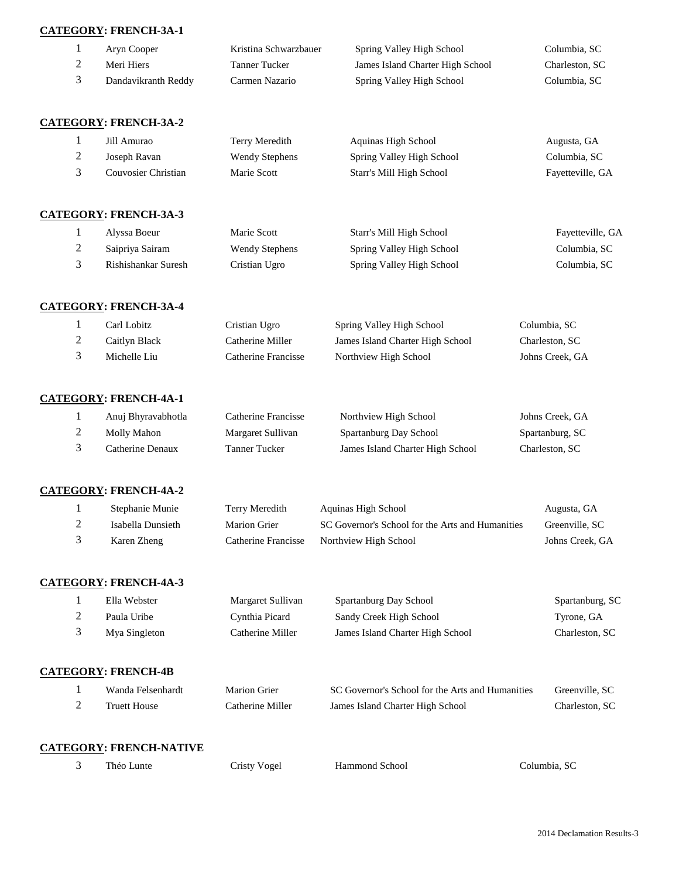|   | <b>CATEGORY: FRENCH-3A-1</b> |                       |                                  |                  |
|---|------------------------------|-----------------------|----------------------------------|------------------|
| 1 | Aryn Cooper                  | Kristina Schwarzbauer | Spring Valley High School        | Columbia, SC     |
| 2 | Meri Hiers                   | <b>Tanner Tucker</b>  | James Island Charter High School | Charleston, SC   |
| 3 | Dandavikranth Reddy          | Carmen Nazario        | Spring Valley High School        | Columbia, SC     |
|   | <b>CATEGORY: FRENCH-3A-2</b> |                       |                                  |                  |
| 1 | Jill Amurao                  | Terry Meredith        | Aquinas High School              | Augusta, GA      |
| 2 | Joseph Ravan                 | <b>Wendy Stephens</b> | Spring Valley High School        | Columbia, SC     |
| 3 | Couvosier Christian          | Marie Scott           | Starr's Mill High School         | Fayetteville, GA |
|   | <b>CATEGORY: FRENCH-3A-3</b> |                       |                                  |                  |
| 1 | Alyssa Boeur                 | Marie Scott           | Starr's Mill High School         | Fayetteville, GA |
| 2 | Saipriya Sairam              | <b>Wendy Stephens</b> | Spring Valley High School        | Columbia, SC     |
| 3 | Rishishankar Suresh          | Cristian Ugro         | Spring Valley High School        | Columbia, SC     |
|   | <b>CATEGORY: FRENCH-3A-4</b> |                       |                                  |                  |
| 1 | Carl Lobitz                  | Cristian Ugro         | Spring Valley High School        | Columbia, SC     |
| 2 | Caitlyn Black                | Catherine Miller      | James Island Charter High School | Charleston, SC   |

| - | Can rende    | Catholine Ivilitei  | <i>Junes island</i> Charler <i>High</i> behoor | $C1$ and $C2$ and $C3$ |
|---|--------------|---------------------|------------------------------------------------|------------------------|
|   | Michelle Liu | Catherine Francisse | Northview High School                          | Johns Creek. GA        |
|   |              |                     |                                                |                        |

## **CATEGORY: FRENCH-4A-1**

| Anuj Bhyravabhotla | Catherine Francisse | Northview High School            | Johns Creek, GA |
|--------------------|---------------------|----------------------------------|-----------------|
| Molly Mahon        | Margaret Sullivan   | Spartanburg Day School           | Spartanburg, SC |
| Catherine Denaux   | Tanner Tucker       | James Island Charter High School | Charleston, SC  |

### **CATEGORY: FRENCH-4A-2**

| Stephanie Munie   | Terry Meredith      | Aquinas High School                              | Augusta, GA     |
|-------------------|---------------------|--------------------------------------------------|-----------------|
| Isabella Dunsieth | Marion Grier        | SC Governor's School for the Arts and Humanities | Greenville, SC  |
| Karen Zheng       | Catherine Francisse | Northview High School                            | Johns Creek, GA |

## **CATEGORY: FRENCH-4A-3**

| Ella Webster  | Margaret Sullivan | Spartanburg Day School           | Spartanburg, SC |
|---------------|-------------------|----------------------------------|-----------------|
| Paula Uribe   | Cynthia Picard    | Sandy Creek High School          | Tyrone, GA      |
| Mya Singleton | Catherine Miller  | James Island Charter High School | Charleston, SC  |
|               |                   |                                  |                 |
|               |                   |                                  |                 |

## **CATEGORY: FRENCH-4B**

| Wanda Felsenhardt   | Marion Grier     | SC Governor's School for the Arts and Humanities | Greenville, SC |
|---------------------|------------------|--------------------------------------------------|----------------|
| <b>Truett House</b> | Catherine Miller | James Island Charter High School                 | Charleston, SC |

### **CATEGORY: FRENCH-NATIVE**

- Théo Lunte Cristy Vogel Hammond School Columbia, SC
	-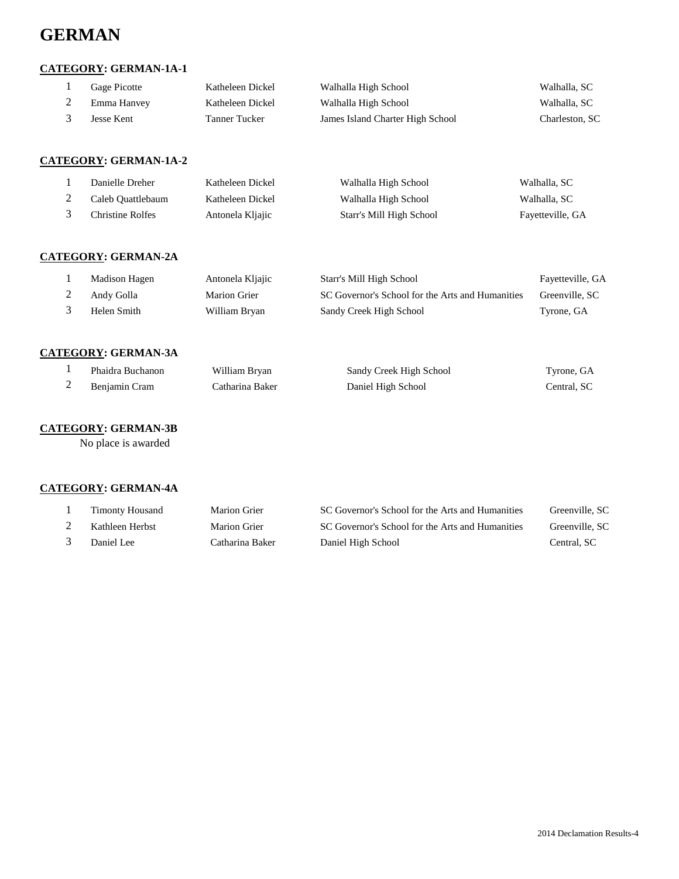## **GERMAN**

### **CATEGORY: GERMAN-1A-1**

| Gage Picotte | Katheleen Dickel | Walhalla High School             | Walhalla, SC   |
|--------------|------------------|----------------------------------|----------------|
| Emma Hanvev  | Katheleen Dickel | Walhalla High School             | Walhalla, SC   |
| Jesse Kent   | Tanner Tucker    | James Island Charter High School | Charleston, SC |

#### **CATEGORY: GERMAN-1A-2**

| Danielle Dreher    | Katheleen Dickel | Walhalla High School     | Walhalla, SC     |
|--------------------|------------------|--------------------------|------------------|
| Caleb Ouattlebaum  | Katheleen Dickel | Walhalla High School     | Walhalla, SC     |
| Christine Rolfes - | Antonela Kljajic | Starr's Mill High School | Fayetteville, GA |

### **CATEGORY: GERMAN-2A**

| Madison Hagen | Antonela Kljajic | Starr's Mill High School                         | Fayetteville, GA |
|---------------|------------------|--------------------------------------------------|------------------|
| Andy Golla    | Marion Grier     | SC Governor's School for the Arts and Humanities | Greenville, SC   |
| Helen Smith   | William Brvan    | Sandy Creek High School                          | Tyrone, GA       |

#### **CATEGORY: GERMAN-3A**

| Phaidra Buchanon | William Brvan   | Sandy Creek High School | Tyrone, GA  |
|------------------|-----------------|-------------------------|-------------|
| Beniamin Cram    | Catharina Baker | Daniel High School      | Central. SC |

#### **CATEGORY: GERMAN-3B**

No place is awarded

#### **CATEGORY: GERMAN-4A**

| <b>Timonty Housand</b> | Marion Grier    | SC Governor's School for the Arts and Humanities | Greenville, SC |
|------------------------|-----------------|--------------------------------------------------|----------------|
| Kathleen Herbst        | Marion Grier    | SC Governor's School for the Arts and Humanities | Greenville, SC |
| Daniel Lee             | Catharina Baker | Daniel High School                               | Central, SC    |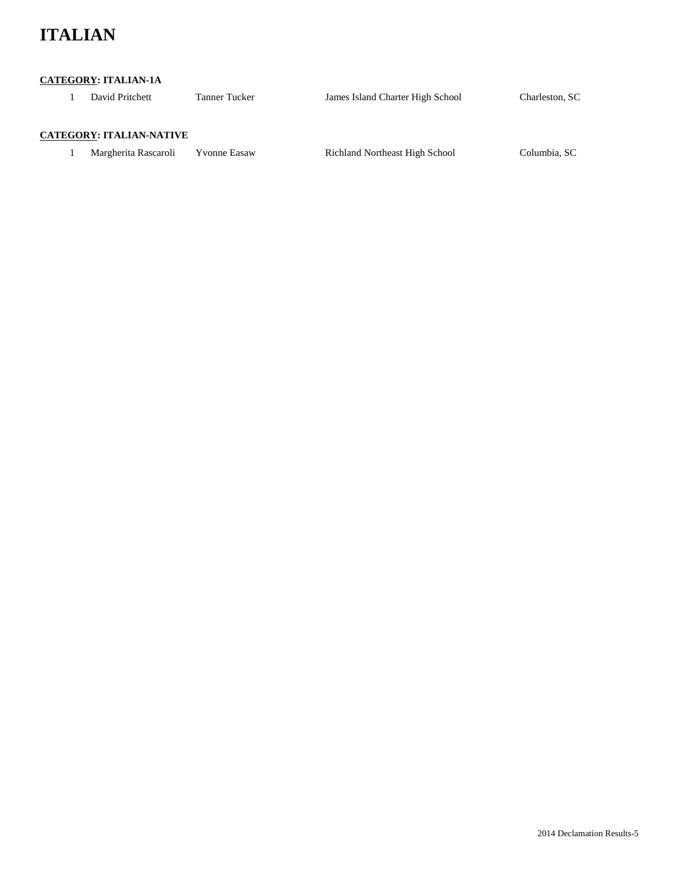## **ITALIAN**

#### **CATEGORY: ITALIAN-1A**

1 David Pritchett Tanner Tucker James Island Charter High School Charleston, SC

#### **CATEGORY: ITALIAN-NATIVE**

1 Margherita Rascaroli Yvonne Easaw Richland Northeast High School Columbia, SC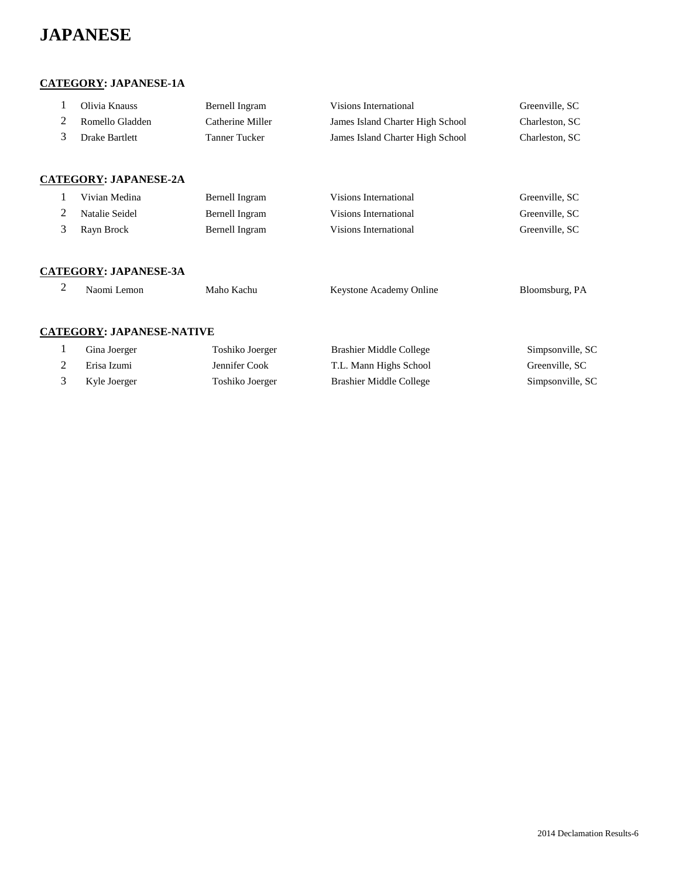## **JAPANESE**

#### **CATEGORY: JAPANESE-1A**

| Olivia Knauss   | Bernell Ingram   | Visions International            | Greenville, SC |
|-----------------|------------------|----------------------------------|----------------|
| Romello Gladden | Catherine Miller | James Island Charter High School | Charleston, SC |
| Drake Bartlett  | Tanner Tucker    | James Island Charter High School | Charleston, SC |
|                 |                  |                                  |                |

#### **CATEGORY: JAPANESE-2A**

| Vivian Medina  | Bernell Ingram | Visions International | Greenville, SC |
|----------------|----------------|-----------------------|----------------|
| Natalie Seidel | Bernell Ingram | Visions International | Greenville, SC |
| Ravn Brock     | Bernell Ingram | Visions International | Greenville, SC |

#### **CATEGORY: JAPANESE-3A**

| $\mathcal{L}$ | Naomi Lemon                      | Maho Kachu | Keystone Academy Online | Bloomsburg, PA |
|---------------|----------------------------------|------------|-------------------------|----------------|
|               |                                  |            |                         |                |
|               | <b>CATEGORY: JAPANESE-NATIVE</b> |            |                         |                |

| Gina Joerger | Toshiko Joerger | Brashier Middle College | Simpsonville, SC |
|--------------|-----------------|-------------------------|------------------|
| Erisa Izumi  | Jennifer Cook   | T.L. Mann Highs School  | Greenville, SC   |
| Kyle Joerger | Toshiko Joerger | Brashier Middle College | Simpsonville, SC |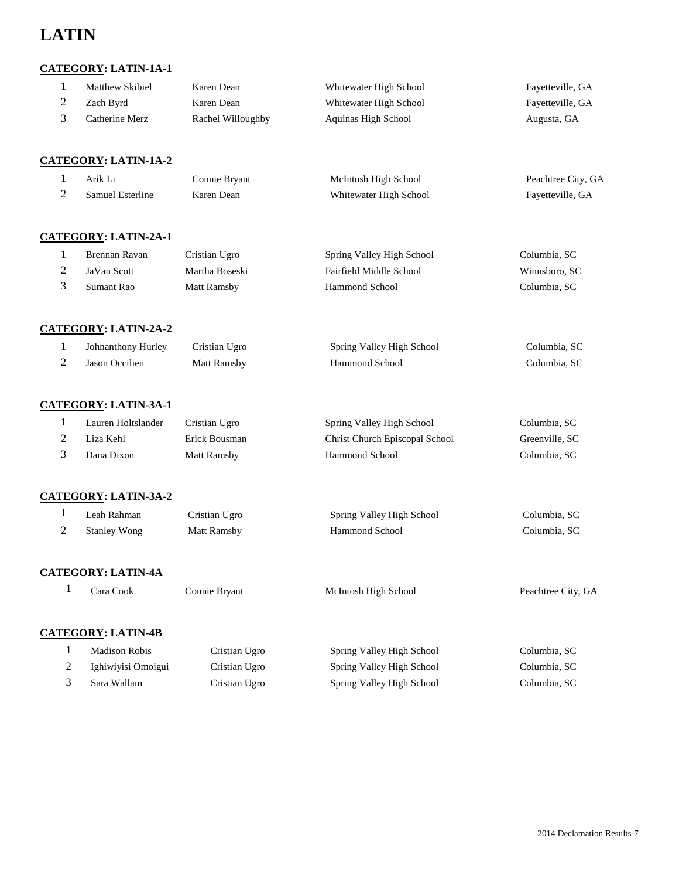## **LATIN**

## **CATEGORY: LATIN-1A-1**

| Matthew Skibiel | Karen Dean        | Whitewater High School | Fayetteville, GA |
|-----------------|-------------------|------------------------|------------------|
| Zach Byrd       | Karen Dean        | Whitewater High School | Fayetteville, GA |
| Catherine Merz  | Rachel Willoughby | Aquinas High School    | Augusta, GA      |

#### **CATEGORY: LATIN-1A-2**

| Arik Li                 | Connie Bryant | McIntosh High School   | Peachtree City, GA |
|-------------------------|---------------|------------------------|--------------------|
| <b>Samuel Esterline</b> | Karen Dean    | Whitewater High School | Fayetteville, GA   |

#### **CATEGORY: LATIN-2A-1**

| Brennan Ravan | Cristian Ugro  | Spring Valley High School | Columbia, SC  |
|---------------|----------------|---------------------------|---------------|
| JaVan Scott   | Martha Boseski | Fairfield Middle School   | Winnsboro, SC |
| Sumant Rao    | Matt Ramsby    | Hammond School            | Columbia, SC  |

#### **CATEGORY: LATIN-2A-2**

| Johnanthony Hurley | Cristian Ugro | Spring Valley High School | Columbia, SC |
|--------------------|---------------|---------------------------|--------------|
| Jason Occilien     | Matt Ramsby   | Hammond School            | Columbia, SC |

#### **CATEGORY: LATIN-3A-1**

| Lauren Holtslander | Cristian Ugro | Spring Valley High School      | Columbia, SC   |
|--------------------|---------------|--------------------------------|----------------|
| Liza Kehl          | Erick Bousman | Christ Church Episcopal School | Greenville, SC |
| Dana Dixon         | Matt Ramsby   | <b>Hammond School</b>          | Columbia, SC   |

#### **CATEGORY: LATIN-3A-2**

| Leah Rahman         | Cristian Ugro | Spring Valley High School | Columbia, SC |
|---------------------|---------------|---------------------------|--------------|
| <b>Stanley Wong</b> | Matt Ramsby   | <b>Hammond School</b>     | Columbia, SC |

#### **CATEGORY: LATIN-4A**

| Cara Cook | Connie Bryant | McIntosh High School | Peachtree City, GA |
|-----------|---------------|----------------------|--------------------|
|           |               |                      |                    |

#### **CATEGORY: LATIN-4B**

| Madison Robis      | Cristian Ugro | Spring Valley High School | Columbia, SC |
|--------------------|---------------|---------------------------|--------------|
| Ighiwiyisi Omoigui | Cristian Ugro | Spring Valley High School | Columbia, SC |
| Sara Wallam        | Cristian Ugro | Spring Valley High School | Columbia, SC |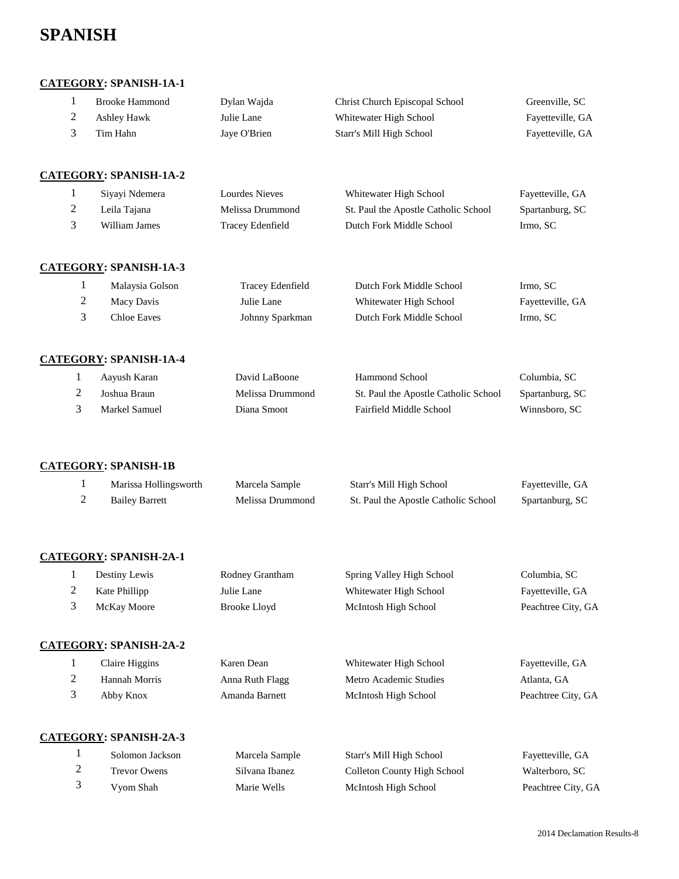## **SPANISH**

#### **CATEGORY: SPANISH-1A-1**

|   | <b>Brooke Hammond</b> | Dylan Wajda  | Christ Church Episcopal School | Greenville, SC   |
|---|-----------------------|--------------|--------------------------------|------------------|
| ∠ | Ashley Hawk           | Julie Lane   | Whitewater High School         | Fayetteville, GA |
|   | Tim Hahn              | Jaye O'Brien | Starr's Mill High School       | Fayetteville, GA |
|   |                       |              |                                |                  |

#### **CATEGORY: SPANISH-1A-2**

| Siyayi Ndemera | Lourdes Nieves   | Whitewater High School               | Fayetteville, GA |
|----------------|------------------|--------------------------------------|------------------|
| Leila Tajana   | Melissa Drummond | St. Paul the Apostle Catholic School | Spartanburg, SC  |
| William James  | Tracey Edenfield | Dutch Fork Middle School             | Irmo. SC         |

#### **CATEGORY: SPANISH-1A-3**

| Malaysia Golson | Tracev Edenfield | Dutch Fork Middle School | Irmo. SC         |
|-----------------|------------------|--------------------------|------------------|
| Macy Davis      | Julie Lane       | Whitewater High School   | Fayetteville, GA |
| Chloe Eaves     | Johnny Sparkman  | Dutch Fork Middle School | Irmo. SC         |

#### **CATEGORY: SPANISH-1A-4**

| Aayush Karan  | David LaBoone    | <b>Hammond School</b>                | Columbia, SC    |
|---------------|------------------|--------------------------------------|-----------------|
| Joshua Braun  | Melissa Drummond | St. Paul the Apostle Catholic School | Spartanburg, SC |
| Markel Samuel | Diana Smoot      | Fairfield Middle School              | Winnsboro, SC   |

#### **CATEGORY: SPANISH-1B**

| Marissa Hollingsworth | Marcela Sample   | Starr's Mill High School             | Fayetteville, GA |
|-----------------------|------------------|--------------------------------------|------------------|
| <b>Bailey Barrett</b> | Melissa Drummond | St. Paul the Apostle Catholic School | Spartanburg, SC  |

#### **CATEGORY: SPANISH-2A-1**

| Destiny Lewis | Rodney Grantham | Spring Valley High School | Columbia, SC       |
|---------------|-----------------|---------------------------|--------------------|
| Kate Phillipp | Julie Lane      | Whitewater High School    | Fayetteville, GA   |
| McKay Moore   | Brooke Lloyd    | McIntosh High School      | Peachtree City, GA |

#### **CATEGORY: SPANISH-2A-2**

| Claire Higgins | Karen Dean      | Whitewater High School | Fayetteville, GA   |
|----------------|-----------------|------------------------|--------------------|
| Hannah Morris  | Anna Ruth Flagg | Metro Academic Studies | Atlanta, GA        |
| Abby Knox      | Amanda Barnett  | McIntosh High School   | Peachtree City, GA |

#### **CATEGORY: SPANISH-2A-3**

|               | Solomon Jackson     | Marcela Sample | Starr's Mill High School    | Fayetteville, GA   |
|---------------|---------------------|----------------|-----------------------------|--------------------|
| $\mathcal{L}$ | <b>Trevor Owens</b> | Silvana Ibanez | Colleton County High School | Walterboro, SC     |
|               | Vyom Shah           | Marie Wells    | McIntosh High School        | Peachtree City, GA |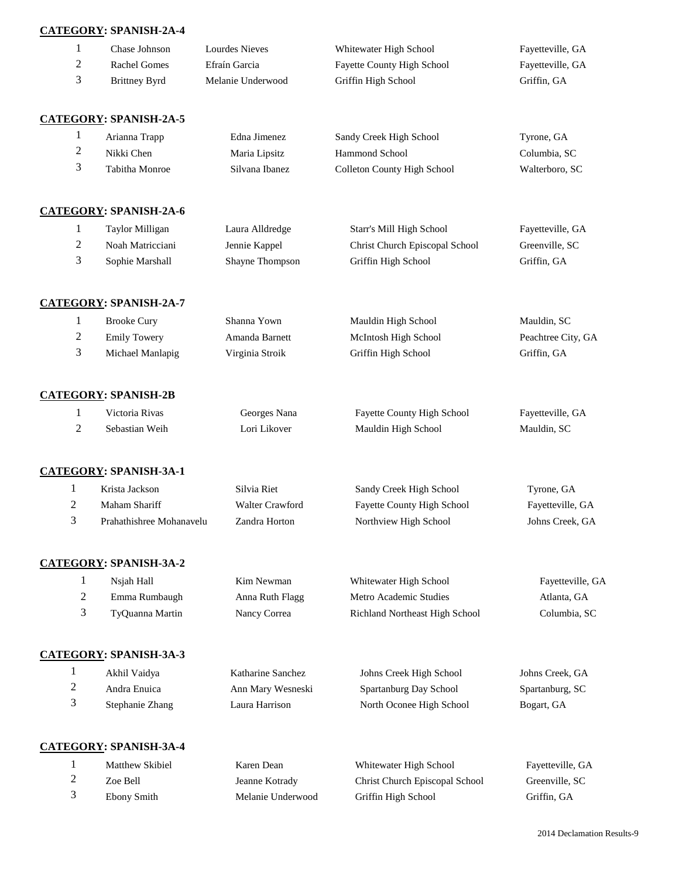#### **CATEGORY: SPANISH-2A-4**

| 1 | Chase Johnson                 | Lourdes Nieves    | Whitewater High School             | Fayetteville, GA |
|---|-------------------------------|-------------------|------------------------------------|------------------|
| 2 | <b>Rachel Gomes</b>           | Efraín Garcia     | <b>Fayette County High School</b>  | Fayetteville, GA |
| 3 | <b>Brittney Byrd</b>          | Melanie Underwood | Griffin High School                | Griffin, GA      |
|   | <b>CATEGORY: SPANISH-2A-5</b> |                   |                                    |                  |
| 1 | Arianna Trapp                 | Edna Jimenez      | Sandy Creek High School            | Tyrone, GA       |
| 2 | Nikki Chen                    | Maria Lipsitz     | <b>Hammond School</b>              | Columbia, SC     |
| 3 | Tabitha Monroe                | Silvana Ibanez    | <b>Colleton County High School</b> | Walterboro, SC   |
|   | <b>CATEGORY: SPANISH-2A-6</b> |                   |                                    |                  |
| 1 | Taylor Milligan               | Laura Alldredge   | Starr's Mill High School           | Fayetteville, GA |
| 2 | Noah Matricciani              | Jennie Kappel     | Christ Church Episcopal School     | Greenville, SC   |
| 3 | Sophie Marshall               | Shayne Thompson   | Griffin High School                | Griffin, GA      |
|   |                               |                   |                                    |                  |

 Brooke Cury Shanna Yown Mauldin High School Mauldin, SC 2 Emily Towery Amanda Barnett McIntosh High School Peachtree City, GA Michael Manlapig Virginia Stroik Griffin High School Griffin, GA

**CATEGORY: SPANISH-2B** Victoria Rivas Georges Nana Fayette County High School Fayetteville, GA Sebastian Weih Lori Likover Mauldin High School Mauldin, SC

**CATEGORY: SPANISH-3A-1**

**CATEGORY: SPANISH-2A-7**

|   | Krista Jackson           | Silvia Riet     | Sandy Creek High School           | Tyrone, GA       |
|---|--------------------------|-----------------|-----------------------------------|------------------|
| ∠ | Maham Shariff            | Walter Crawford | <b>Fayette County High School</b> | Fayetteville, GA |
|   | Prahathishree Mohanavelu | Zandra Horton   | Northview High School             | Johns Creek. GA  |

**CATEGORY: SPANISH-3A-2** Nsjah Hall Kim Newman Whitewater High School Fayetteville, GA

| Emma Rumbaugh   | Anna Ruth Flagg | Metro Academic Studies         | Atlanta. GA  |
|-----------------|-----------------|--------------------------------|--------------|
| TyQuanna Martin | Nancy Correa    | Richland Northeast High School | Columbia, SC |

**CATEGORY: SPANISH-3A-3**

| Akhil Vaidya    | Katharine Sanchez | Johns Creek High School  | Johns Creek, GA |
|-----------------|-------------------|--------------------------|-----------------|
| Andra Enuica    | Ann Mary Wesneski | Spartanburg Day School   | Spartanburg, SC |
| Stephanie Zhang | Laura Harrison    | North Oconee High School | Bogart, GA      |

#### **CATEGORY: SPANISH-3A-4**

| Matthew Skibiel | Karen Dean        | Whitewater High School         | Fayetteville |
|-----------------|-------------------|--------------------------------|--------------|
| Zoe Bell        | Jeanne Kotrady    | Christ Church Episcopal School | Greenville,  |
| Ebony Smith     | Melanie Underwood | Griffin High School            | Griffin, GA  |

Fayetteville, GA 2 John Greenville, SC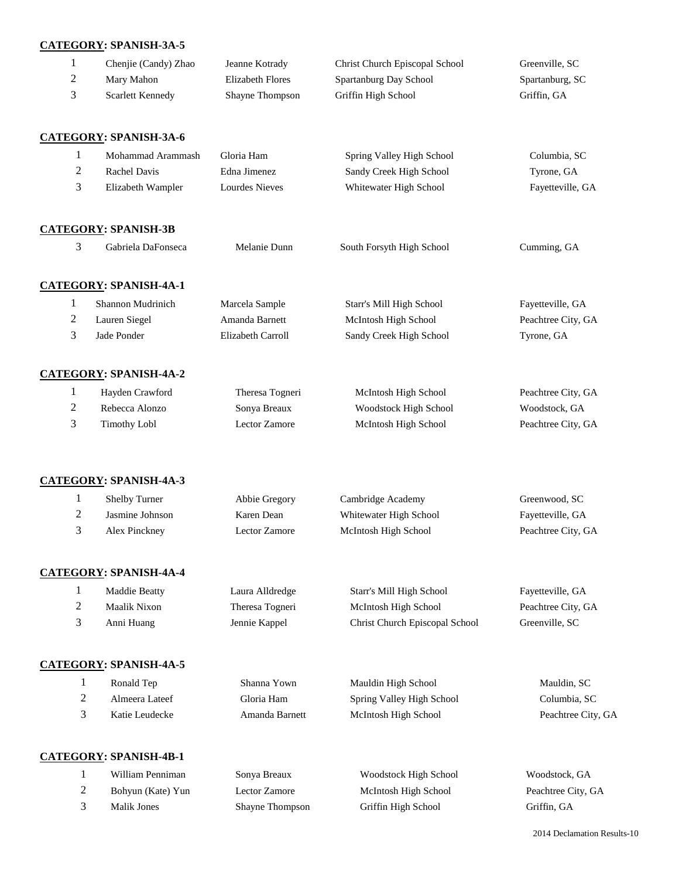#### **CATEGORY: SPANISH-3A-5**

| Chenie (Candy) Zhao | Jeanne Kotrady         | Christ Church Episcopal School | Greenville, SC  |
|---------------------|------------------------|--------------------------------|-----------------|
| Mary Mahon          | Elizabeth Flores       | Spartanburg Day School         | Spartanburg, SC |
| Scarlett Kennedy    | <b>Shayne Thompson</b> | Griffin High School            | Griffin, GA     |

#### **CATEGORY: SPANISH-3A-6**

|   | Mohammad Arammash | Gloria Ham     | Spring Valley High School | Columbia, SC     |
|---|-------------------|----------------|---------------------------|------------------|
| ∠ | Rachel Davis      | Edna Jimenez   | Sandy Creek High School   | Tyrone, GA       |
|   | Elizabeth Wampler | Lourdes Nieves | Whitewater High School    | Fayetteville, GA |

#### **CATEGORY: SPANISH-3B**

| 3 | Gabriela DaFonseca            | Melanie Dunn      | South Forsyth High School | Cumming, GA        |
|---|-------------------------------|-------------------|---------------------------|--------------------|
|   | <b>CATEGORY: SPANISH-4A-1</b> |                   |                           |                    |
|   | Shannon Mudrinich             | Marcela Sample    | Starr's Mill High School  | Fayetteville, GA   |
| 2 | Lauren Siegel                 | Amanda Barnett    | McIntosh High School      | Peachtree City, GA |
| 3 | Jade Ponder                   | Elizabeth Carroll | Sandy Creek High School   | Tyrone, GA         |
|   | <b>CATEGORY: SPANISH-4A-2</b> |                   |                           |                    |
| 1 | Hayden Crawford               | Theresa Togneri   | McIntosh High School      | Peachtree City, GA |
| 2 | Rebecca Alonzo                | Sonya Breaux      | Woodstock High School     | Woodstock, GA      |

#### **CATEGORY: SPANISH-4A-3**

| <b>Shelby Turner</b> | Abbie Gregory | Cambridge Academy      | Greenwood, SC      |
|----------------------|---------------|------------------------|--------------------|
| Jasmine Johnson      | Karen Dean    | Whitewater High School | Fayetteville, GA   |
| Alex Pinckney        | Lector Zamore | McIntosh High School   | Peachtree City, GA |

Timothy Lobl Lector Zamore McIntosh High School Peachtree City, GA

#### **CATEGORY: SPANISH-4A-4**

| Maddie Beatty | Laura Alldredge | Starr's Mill High School              | Fayetteville, GA   |
|---------------|-----------------|---------------------------------------|--------------------|
| Maalik Nixon  | Theresa Togneri | McIntosh High School                  | Peachtree City, GA |
| Anni Huang    | Jennie Kappel   | <b>Christ Church Episcopal School</b> | Greenville, SC     |

#### **CATEGORY: SPANISH-4A-5**

| Ronald Tep     | Shanna Yown    | Mauldin High School       | Mauldin, SC        |
|----------------|----------------|---------------------------|--------------------|
| Almeera Lateef | Gloria Ham     | Spring Valley High School | Columbia, SC       |
| Katie Leudecke | Amanda Barnett | McIntosh High School      | Peachtree City, GA |

#### **CATEGORY: SPANISH-4B-1**

| William Penniman  | Sonya Breaux           | Woodstock High School | Woodstock, GA      |
|-------------------|------------------------|-----------------------|--------------------|
| Bohyun (Kate) Yun | Lector Zamore          | McIntosh High School  | Peachtree City, GA |
| Malik Jones       | <b>Shavne Thompson</b> | Griffin High School   | Griffin, GA        |